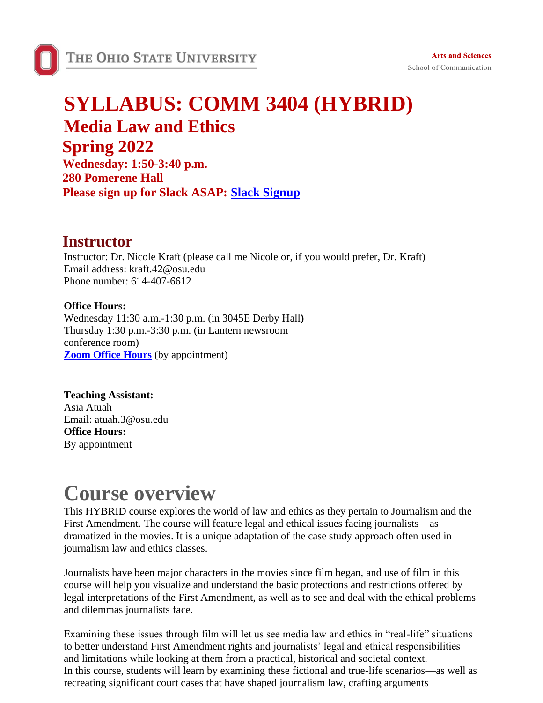

### **SYLLABUS: COMM 3404 (HYBRID) Media Law and Ethics**

# **Spring 2022**

**Wednesday: 1:50-3:40 p.m. 280 Pomerene Hall Please sign up for Slack ASAP: [Slack Signup](https://join.slack.com/t/kraftcommclassessp22/shared_invite/zt-zc7vrxyu-1NZzWL8kH6jS1ixwGTEo2A)**

### **Instructor**

Instructor: Dr. Nicole Kraft (please call me Nicole or, if you would prefer, Dr. Kraft) Email address: [kraft.42@osu.edu](mailto:kraft.42@osu.edu) Phone number: 614-407-6612

#### **Office Hours:**

Wednesday 11:30 a.m.-1:30 p.m. (in 3045E Derby Hall**)** Thursday 1:30 p.m.-3:30 p.m. (in Lantern newsroom conference room) **Zoom Office Hours** (by appointment)

**Teaching Assistant:**  Asia Atuah Email: atuah.3@osu.edu **Office Hours:**  By appointment

## **Course overview**

This HYBRID course explores the world of law and ethics as they pertain to Journalism and the First Amendment. The course will feature legal and ethical issues facing journalists—as dramatized in the movies. It is a unique adaptation of the case study approach often used in journalism law and ethics classes.

Journalists have been major characters in the movies since film began, and use of film in this course will help you visualize and understand the basic protections and restrictions offered by legal interpretations of the First Amendment, as well as to see and deal with the ethical problems and dilemmas journalists face.

Examining these issues through film will let us see media law and ethics in "real-life" situations to better understand First Amendment rights and journalists' legal and ethical responsibilities and limitations while looking at them from a practical, historical and societal context. In this course, students will learn by examining these fictional and true-life scenarios—as well as recreating significant court cases that have shaped journalism law, crafting arguments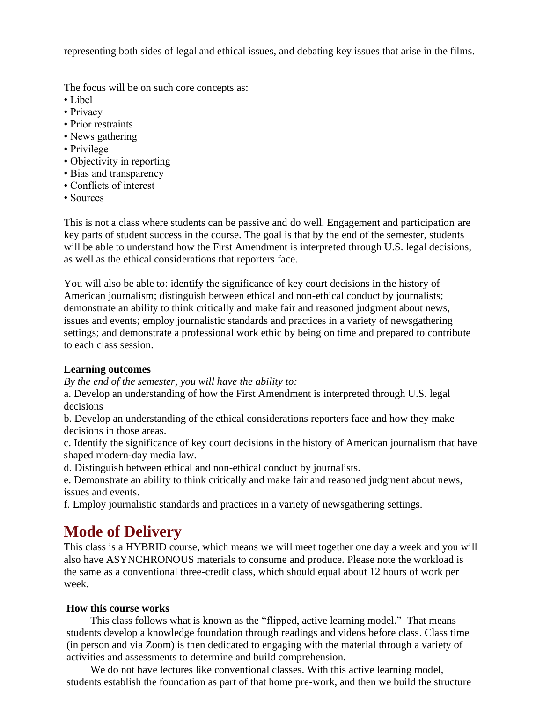representing both sides of legal and ethical issues, and debating key issues that arise in the films.

The focus will be on such core concepts as:

- Libel
- Privacy
- Prior restraints
- News gathering
- Privilege
- Objectivity in reporting
- Bias and transparency
- Conflicts of interest
- Sources

This is not a class where students can be passive and do well. Engagement and participation are key parts of student success in the course. The goal is that by the end of the semester, students will be able to understand how the First Amendment is interpreted through U.S. legal decisions, as well as the ethical considerations that reporters face.

You will also be able to: identify the significance of key court decisions in the history of American journalism; distinguish between ethical and non-ethical conduct by journalists; demonstrate an ability to think critically and make fair and reasoned judgment about news, issues and events; employ journalistic standards and practices in a variety of newsgathering settings; and demonstrate a professional work ethic by being on time and prepared to contribute to each class session.

#### **Learning outcomes**

*By the end of the semester, you will have the ability to:*

a. Develop an understanding of how the First Amendment is interpreted through U.S. legal decisions

b. Develop an understanding of the ethical considerations reporters face and how they make decisions in those areas.

c. Identify the significance of key court decisions in the history of American journalism that have shaped modern-day media law.

d. Distinguish between ethical and non-ethical conduct by journalists.

e. Demonstrate an ability to think critically and make fair and reasoned judgment about news, issues and events.

f. Employ journalistic standards and practices in a variety of newsgathering settings.

### **Mode of Delivery**

This class is a HYBRID course, which means we will meet together one day a week and you will also have ASYNCHRONOUS materials to consume and produce. Please note the workload is the same as a conventional three-credit class, which should equal about 12 hours of work per week.

#### **How this course works**

This class follows what is known as the "flipped, active learning model." That means students develop a knowledge foundation through readings and videos before class. Class time (in person and via Zoom) is then dedicated to engaging with the material through a variety of activities and assessments to determine and build comprehension.

We do not have lectures like conventional classes. With this active learning model, students establish the foundation as part of that home pre-work, and then we build the structure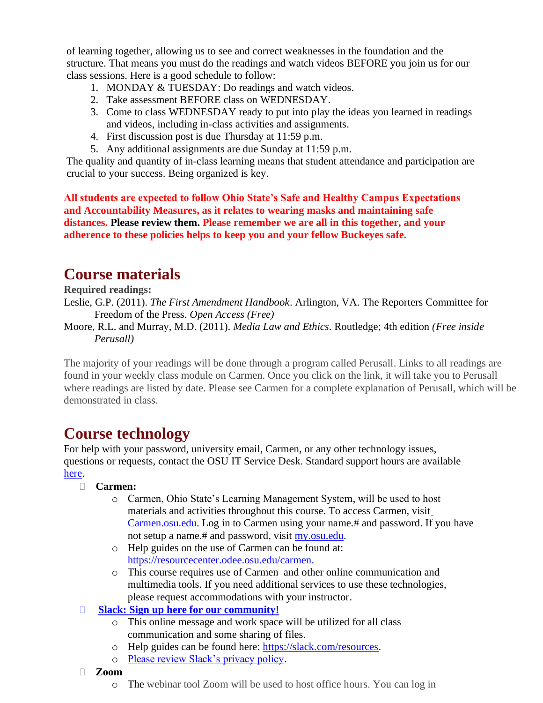of learning together, allowing us to see and correct weaknesses in the foundation and the structure. That means you must do the readings and watch videos BEFORE you join us for our class sessions. Here is a good schedule to follow:

- 1. MONDAY & TUESDAY: Do readings and watch videos.
- 2. Take assessment BEFORE class on WEDNESDAY.
- 3. Come to class WEDNESDAY ready to put into play the ideas you learned in readings and videos, including in-class activities and assignments.
- 4. First discussion post is due Thursday at 11:59 p.m.
- 5. Any additional assignments are due Sunday at 11:59 p.m.

The quality and quantity of in-class learning means that student attendance and participation are crucial to your success. Being organized is key.

**All students are expected to follow Ohio State's Safe and Healthy Campus Expectations and Accountability Measures, as it relates to wearing masks and maintaining safe distances. Please review them. Please remember we are all in this together, and your adherence to these policies helps to keep you and your fellow Buckeyes safe.**

### **Course materials**

**Required readings:**

- Leslie, G.P. (2011). *The First Amendment Handbook*. Arlington, VA. The Reporters Committee for Freedom of the Press. *Open Access (Free)*
- Moore, R.L. and Murray, M.D. (2011). *Media Law and Ethics*. Routledge; 4th edition *(Free inside Perusall)*

The majority of your readings will be done through a program called Perusall. Links to all readings are found in your weekly class module on Carmen. Once you click on the link, it will take you to Perusall where readings are listed by date. Please see Carmen for a complete explanation of Perusall, which will be demonstrated in class.

### **Course technology**

For help with your password, university email, Carmen, or any other technology issues, questions or requests, contact the OSU IT Service Desk. Standard support hours are available

- [here.](https://it.osu.edu/help#:~:text=Monday%20%2D%20Friday%3A%208%20a.m.%20%2D%205%20p.m.)
	- **Carmen:**
		- o Carmen, Ohio State's Learning Management System, will be used to host materials and activities throughout this course. To access Carmen, visit [Carmen.osu.edu.](https://carmen.osu.edu/) Log in to Carmen using your name.# and password. If you have not setup a name.# and password, visit [my.osu.edu.](https://my.osu.edu/)
		- o Help guides on the use of Carmen can be found at: [https://resourcecenter.odee.osu.edu/carmen.](https://resourcecenter.odee.osu.edu/carmen)
		- o This course requires use of Carmen and other online communication and multimedia tools. If you need additional services to use these technologies, please request accommodations with your instructor.
	- **[Slack: Sign up here for our community!](https://join.slack.com/t/kraftcommclassessp22/shared_invite/zt-zc7vrxyu-1NZzWL8kH6jS1ixwGTEo2A)**
		- o This online message and work space will be utilized for all class communication and some sharing of files.
		- o Help guides can be found here: [https://slack.com/resources.](https://slack.com/resources)
		- o [Please review Slack's privacy policy.](https://slack.com/privacy-policy)
	- **Zoom**
		- o The webinar tool Zoom will be used to host office hours. You can log in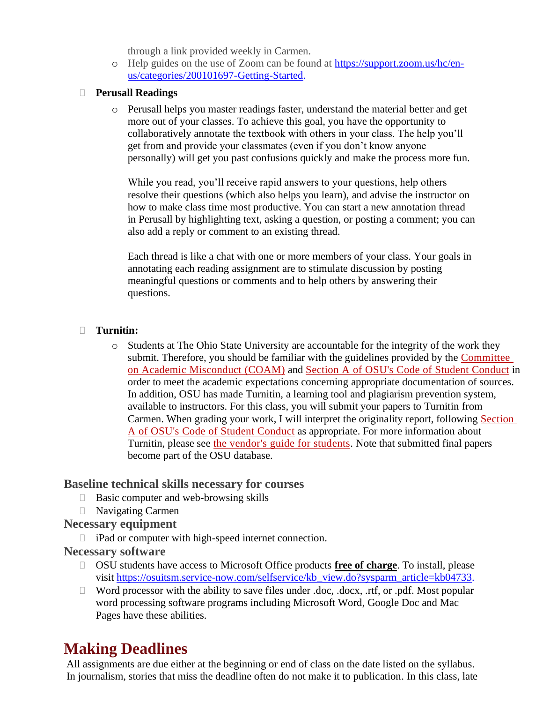through a link provided weekly in Carmen.

o Help guides on the use of Zoom can be found at [https://support.zoom.us/hc/en](https://support.zoom.us/hc/en-us/categories/200101697-Getting-Started)[us/categories/200101697-Getting-Started.](https://support.zoom.us/hc/en-us/categories/200101697-Getting-Started)

#### **Perusall Readings**

o Perusall helps you master readings faster, understand the material better and get more out of your classes. To achieve this goal, you have the opportunity to collaboratively annotate the textbook with others in your class. The help you'll get from and provide your classmates (even if you don't know anyone personally) will get you past confusions quickly and make the process more fun.

While you read, you'll receive rapid answers to your questions, help others resolve their questions (which also helps you learn), and advise the instructor on how to make class time most productive. You can start a new annotation thread in Perusall by highlighting text, asking a question, or posting a comment; you can also add a reply or comment to an existing thread.

Each thread is like a chat with one or more members of your class. Your goals in annotating each reading assignment are to stimulate discussion by posting meaningful questions or comments and to help others by answering their questions.

#### **Turnitin:**

o Students at The Ohio State University are accountable for the integrity of the work they submit. Therefore, you should be familiar with the guidelines provided by the [Committee](http://oaa.osu.edu/coam.html) on Academic [Misconduct](http://oaa.osu.edu/coam.html) (COAM) and Section A of OSU's Code of Student [Conduct](http://studentlife.osu.edu/csc/) in order to meet the academic expectations concerning appropriate documentation of sources. In addition, OSU has made Turnitin, a learning tool and plagiarism prevention system, available to instructors. For this class, you will submit your papers to Turnitin from Carmen. When grading your work, I will interpret the originality report, following [Section](http://studentlife.osu.edu/csc/) A of OSU's Code of Student [Conduct](http://studentlife.osu.edu/csc/) as appropriate. For more information about Turnitin, please see the vendor's guide for [students.](https://guides.turnitin.com/01_Manuals_and_Guides/Student_Guides/Feedback_Studio_for_Students) Note that submitted final papers become part of the OSU database.

#### **Baseline technical skills necessary for courses**

- Basic computer and web-browsing skills
- Navigating Carmen

#### **Necessary equipment**

iPad or computer with high-speed internet connection.

#### **Necessary software**

- OSU students have access to Microsoft Office products **free of charge**. To install, please visit [https://osuitsm.service-now.com/selfservice/kb\\_view.do?sysparm\\_article=kb04733.](https://osuitsm.service-now.com/selfservice/kb_view.do?sysparm_article=kb04733)
- $\Box$  Word processor with the ability to save files under .doc, .docx, .rtf, or .pdf. Most popular word processing software programs including Microsoft Word, Google Doc and Mac Pages have these abilities.

### **Making Deadlines**

All assignments are due either at the beginning or end of class on the date listed on the syllabus. In journalism, stories that miss the deadline often do not make it to publication. In this class, late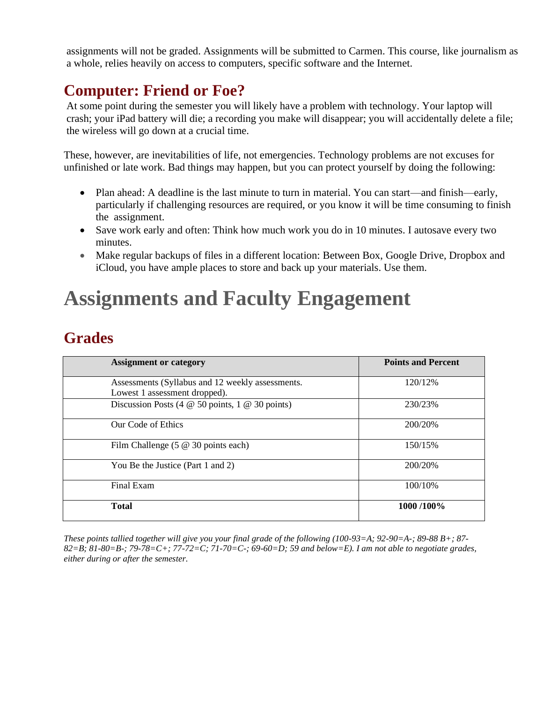assignments will not be graded. Assignments will be submitted to Carmen. This course, like journalism as a whole, relies heavily on access to computers, specific software and the Internet.

### **Computer: Friend or Foe?**

At some point during the semester you will likely have a problem with technology. Your laptop will crash; your iPad battery will die; a recording you make will disappear; you will accidentally delete a file; the wireless will go down at a crucial time.

These, however, are inevitabilities of life, not emergencies. Technology problems are not excuses for unfinished or late work. Bad things may happen, but you can protect yourself by doing the following:

- Plan ahead: A deadline is the last minute to turn in material. You can start—and finish—early, particularly if challenging resources are required, or you know it will be time consuming to finish the assignment.
- Save work early and often: Think how much work you do in 10 minutes. I autosave every two minutes.
- Make regular backups of files in a different location: Between Box, Google Drive, Dropbox and iCloud, you have ample places to store and back up your materials. Use them.

## **Assignments and Faculty Engagement**

### **Grades**

| <b>Assignment or category</b>                                                     | <b>Points and Percent</b> |
|-----------------------------------------------------------------------------------|---------------------------|
| Assessments (Syllabus and 12 weekly assessments.<br>Lowest 1 assessment dropped). | 120/12%                   |
| Discussion Posts (4 $\omega$ 50 points, 1 $\omega$ 30 points)                     | 230/23%                   |
| Our Code of Ethics                                                                | 200/20%                   |
| Film Challenge $(5 \otimes 30 \text{ points each})$                               | 150/15%                   |
| You Be the Justice (Part 1 and 2)                                                 | 200/20%                   |
| Final Exam                                                                        | 100/10%                   |
| <b>Total</b>                                                                      | 1000/100%                 |

*These points tallied together will give you your final grade of the following (100-93=A; 92-90=A-; 89-88 B+; 87- 82=B; 81-80=B-; 79-78=C+; 77-72=C; 71-70=C-; 69-60=D; 59 and below=E). I am not able to negotiate grades, either during or after the semester.*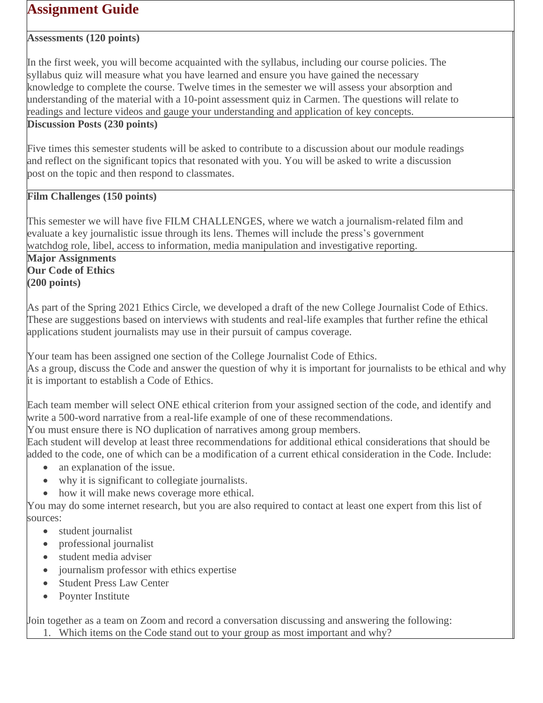### **Assignment Guide**

#### **Assessments (120 points)**

In the first week, you will become acquainted with the syllabus, including our course policies. The syllabus quiz will measure what you have learned and ensure you have gained the necessary knowledge to complete the course. Twelve times in the semester we will assess your absorption and understanding of the material with a 10-point assessment quiz in Carmen. The questions will relate to readings and lecture videos and gauge your understanding and application of key concepts. **Discussion Posts (230 points)**

Five times this semester students will be asked to contribute to a discussion about our module readings and reflect on the significant topics that resonated with you. You will be asked to write a discussion post on the topic and then respond to classmates.

#### **Film Challenges (150 points)**

This semester we will have five FILM CHALLENGES, where we watch a journalism-related film and evaluate a key journalistic issue through its lens. Themes will include the press's government watchdog role, libel, access to information, media manipulation and investigative reporting.

**Major Assignments Our Code of Ethics (200 points)**

As part of the Spring 2021 Ethics Circle, we developed a draft of the new College Journalist Code of Ethics. These are suggestions based on interviews with students and real-life examples that further refine the ethical applications student journalists may use in their pursuit of campus coverage.

Your team has been assigned one section of the College Journalist Code of Ethics. As a group, discuss the Code and answer the question of why it is important for journalists to be ethical and why it is important to establish a Code of Ethics.

Each team member will select ONE ethical criterion from your assigned section of the code, and identify and write a 500-word narrative from a real-life example of one of these recommendations.

You must ensure there is NO duplication of narratives among group members.

Each student will develop at least three recommendations for additional ethical considerations that should be added to the code, one of which can be a modification of a current ethical consideration in the Code. Include:

- an explanation of the issue.
- why it is significant to collegiate journalists.
- how it will make news coverage more ethical.

You may do some internet research, but you are also required to contact at least one expert from this list of sources:

- student journalist
- professional journalist
- student media adviser
- journalism professor with ethics expertise
- Student Press Law Center
- Poynter Institute

Join together as a team on Zoom and record a conversation discussing and answering the following:

1. Which items on the Code stand out to your group as most important and why?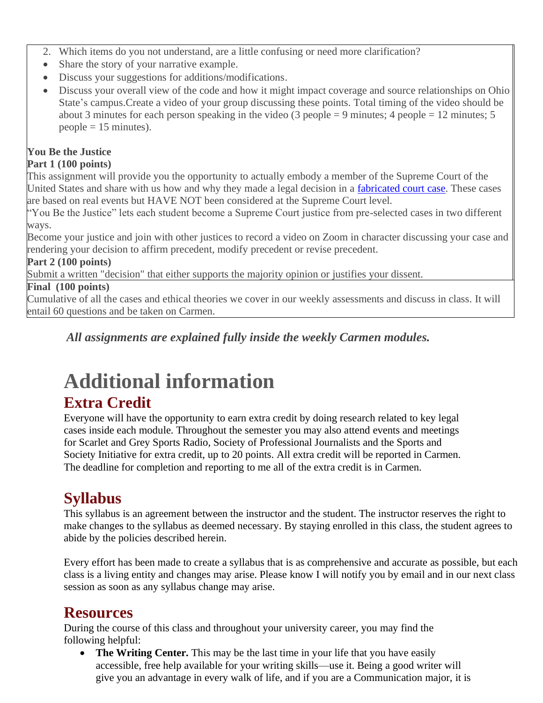- 2. Which items do you not understand, are a little confusing or need more clarification?
- Share the story of your narrative example.
- Discuss your suggestions for additions/modifications.
- Discuss your overall view of the code and how it might impact coverage and source relationships on Ohio State's campus.Create a video of your group discussing these points. Total timing of the video should be about 3 minutes for each person speaking in the video (3 people = 9 minutes; 4 people = 12 minutes; 5  $people = 15$  minutes).

#### **You Be the Justice**

#### **Part 1 (100 points)**

This assignment will provide you the opportunity to actually embody a member of the Supreme Court of the United States and share with us how and why they made a legal decision in a fabricated [court case.](https://osu.instructure.com/courses/82576/pages/sample-cases-you-be-the-justice) These cases are based on real events but HAVE NOT been considered at the Supreme Court level.

"You Be the Justice" lets each student become a Supreme Court justice from pre-selected cases in two different ways.

Become your justice and join with other justices to record a video on Zoom in character discussing your case and rendering your decision to affirm precedent, modify precedent or revise precedent.

#### **Part 2 (100 points)**

Submit a written "decision" that either supports the majority opinion or justifies your dissent.

#### **Final (100 points)**

Cumulative of all the cases and ethical theories we cover in our weekly assessments and discuss in class. It will entail 60 questions and be taken on Carmen.

*All assignments are explained fully inside the weekly Carmen modules.*

# **Additional information**

### **Extra Credit**

Everyone will have the opportunity to earn extra credit by doing research related to key legal cases inside each module. Throughout the semester you may also attend events and meetings for Scarlet and Grey Sports Radio, Society of Professional Journalists and the Sports and Society Initiative for extra credit, up to 20 points. All extra credit will be reported in Carmen. The deadline for completion and reporting to me all of the extra credit is in Carmen.

### **Syllabus**

This syllabus is an agreement between the instructor and the student. The instructor reserves the right to make changes to the syllabus as deemed necessary. By staying enrolled in this class, the student agrees to abide by the policies described herein.

Every effort has been made to create a syllabus that is as comprehensive and accurate as possible, but each class is a living entity and changes may arise. Please know I will notify you by email and in our next class session as soon as any syllabus change may arise.

### **Resources**

During the course of this class and throughout your university career, you may find the following helpful:

• **The Writing Center.** This may be the last time in your life that you have easily accessible, free help available for your writing skills—use it. Being a good writer will give you an advantage in every walk of life, and if you are a Communication major, it is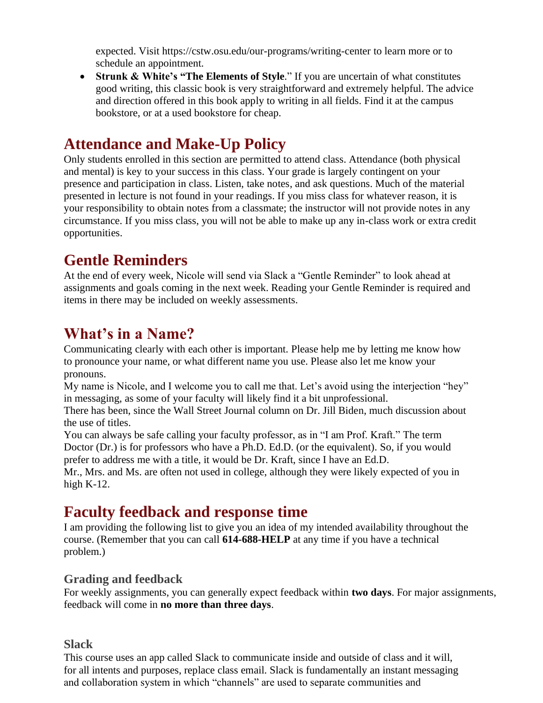expected. Visit<https://cstw.osu.edu/our-programs/writing-center> to learn more or to schedule an appointment.

• **Strunk & White's "The Elements of Style**." If you are uncertain of what constitutes good writing, this classic book is very straightforward and extremely helpful. The advice and direction offered in this book apply to writing in all fields. Find it at the campus bookstore, or at a used bookstore for cheap.

### **Attendance and Make-Up Policy**

Only students enrolled in this section are permitted to attend class. Attendance (both physical and mental) is key to your success in this class. Your grade is largely contingent on your presence and participation in class. Listen, take notes, and ask questions. Much of the material presented in lecture is not found in your readings. If you miss class for whatever reason, it is your responsibility to obtain notes from a classmate; the instructor will not provide notes in any circumstance. If you miss class, you will not be able to make up any in-class work or extra credit opportunities.

### **Gentle Reminders**

At the end of every week, Nicole will send via Slack a "Gentle Reminder" to look ahead at assignments and goals coming in the next week. Reading your Gentle Reminder is required and items in there may be included on weekly assessments.

### **What's in a Name?**

Communicating clearly with each other is important. Please help me by letting me know how to pronounce your name, or what different name you use. Please also let me know your pronouns.

My name is Nicole, and I welcome you to call me that. Let's avoid using the interjection "hey" in messaging, as some of your faculty will likely find it a bit unprofessional.

There has been, since the Wall Street Journal column on Dr. Jill Biden, much discussion about the use of titles.

You can always be safe calling your faculty professor, as in "I am Prof. Kraft." The term Doctor (Dr.) is for professors who have a Ph.D. Ed.D. (or the equivalent). So, if you would prefer to address me with a title, it would be Dr. Kraft, since I have an Ed.D.

Mr., Mrs. and Ms. are often not used in college, although they were likely expected of you in high  $K-12$ .

### **Faculty feedback and response time**

I am providing the following list to give you an idea of my intended availability throughout the course. (Remember that you can call **614-688-HELP** at any time if you have a technical problem.)

#### **Grading and feedback**

For weekly assignments, you can generally expect feedback within **two days**. For major assignments, feedback will come in **no more than three days**.

#### **Slack**

This course uses an app called Slack to communicate inside and outside of class and it will, for all intents and purposes, replace class email. Slack is fundamentally an instant messaging and collaboration system in which "channels" are used to separate communities and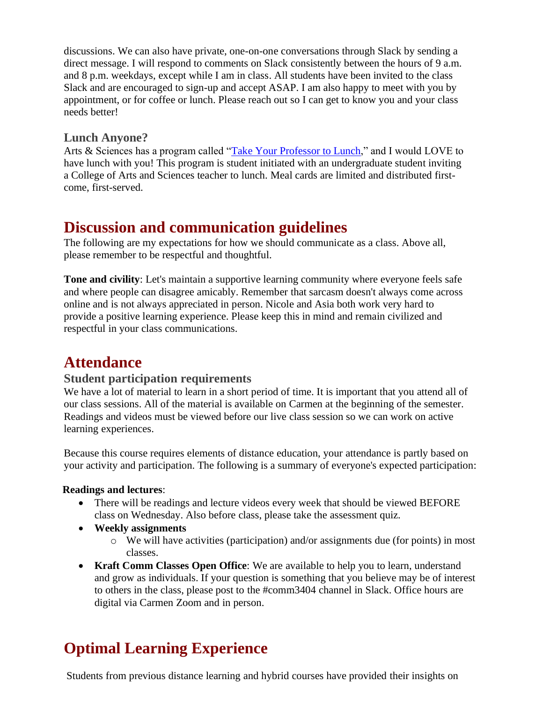discussions. We can also have private, one-on-one conversations through Slack by sending a direct message. I will respond to comments on Slack consistently between the hours of 9 a.m. and 8 p.m. weekdays, except while I am in class. All students have been invited to the class Slack and are encouraged to sign-up and accept ASAP. I am also happy to meet with you by appointment, or for coffee or lunch. Please reach out so I can get to know you and your class needs better!

#### **Lunch Anyone?**

Arts & Sciences has a program called ["Take Your Professor to Lunch,](https://artsandsciences.osu.edu/academics/current-students/get-involved/prof2lunch#:~:text=Yes%2C%20a%20student%20group%20of,as%20part%20of%20a%20group.)" and I would LOVE to have lunch with you! This program is student initiated with an undergraduate student inviting a College of Arts and Sciences teacher to lunch. Meal cards are limited and distributed firstcome, first-served.

### **Discussion and communication guidelines**

The following are my expectations for how we should communicate as a class. Above all, please remember to be respectful and thoughtful.

**Tone and civility**: Let's maintain a supportive learning community where everyone feels safe and where people can disagree amicably. Remember that sarcasm doesn't always come across online and is not always appreciated in person. Nicole and Asia both work very hard to provide a positive learning experience. Please keep this in mind and remain civilized and respectful in your class communications.

### **Attendance**

#### **Student participation requirements**

We have a lot of material to learn in a short period of time. It is important that you attend all of our class sessions. All of the material is available on Carmen at the beginning of the semester. Readings and videos must be viewed before our live class session so we can work on active learning experiences.

Because this course requires elements of distance education, your attendance is partly based on your activity and participation. The following is a summary of everyone's expected participation:

#### **Readings and lectures**:

- There will be readings and lecture videos every week that should be viewed BEFORE class on Wednesday. Also before class, please take the assessment quiz.
- **Weekly assignments**
	- o We will have activities (participation) and/or assignments due (for points) in most classes.
- **Kraft Comm Classes Open Office**: We are available to help you to learn, understand and grow as individuals. If your question is something that you believe may be of interest to others in the class, please post to the #comm3404 channel in Slack. Office hours are digital via Carmen Zoom and in person.

### **Optimal Learning Experience**

Students from previous distance learning and hybrid courses have provided their insights on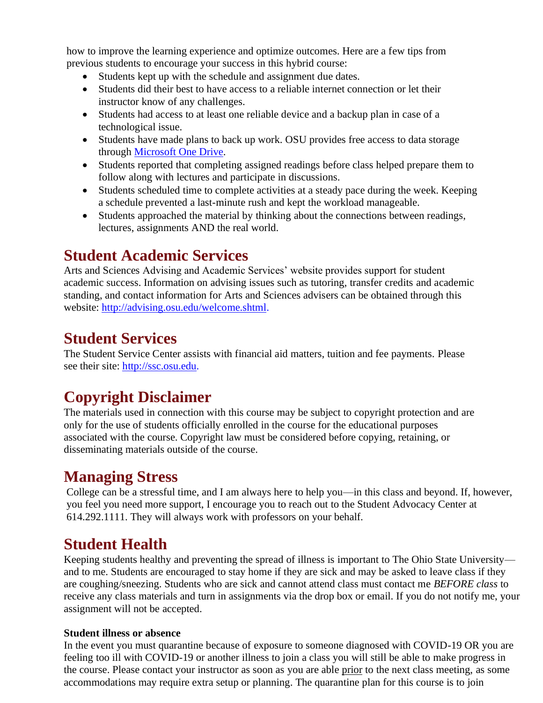how to improve the learning experience and optimize outcomes. Here are a few tips from previous students to encourage your success in this hybrid course:

- Students kept up with the schedule and assignment due dates.
- Students did their best to have access to a reliable internet connection or let their instructor know of any challenges.
- Students had access to at least one reliable device and a backup plan in case of a technological issue.
- Students have made plans to back up work. OSU provides free access to data storage through [Microsoft One Drive.](https://office365.osu.edu/)
- Students reported that completing assigned readings before class helped prepare them to follow along with lectures and participate in discussions.
- Students scheduled time to complete activities at a steady pace during the week. Keeping a schedule prevented a last-minute rush and kept the workload manageable.
- Students approached the material by thinking about the connections between readings, lectures, assignments AND the real world.

### **Student Academic Services**

Arts and Sciences Advising and Academic Services' website provides support for student academic success. Information on advising issues such as tutoring, transfer credits and academic standing, and contact information for Arts and Sciences advisers can be obtained through this website: [http://advising.osu.edu/welcome.shtml.](http://advising.osu.edu/welcome.shtml)

### **Student Services**

The Student Service Center assists with financial aid matters, tuition and fee payments. Please see their site: [http://ssc.osu.edu.](http://ssc.osu.edu/)

### **Copyright Disclaimer**

The materials used in connection with this course may be subject to copyright protection and are only for the use of students officially enrolled in the course for the educational purposes associated with the course. Copyright law must be considered before copying, retaining, or disseminating materials outside of the course.

### **Managing Stress**

College can be a stressful time, and I am always here to help you—in this class and beyond. If, however, you feel you need more support, I encourage you to reach out to the Student Advocacy Center at 614.292.1111. They will always work with professors on your behalf.

### **Student Health**

Keeping students healthy and preventing the spread of illness is important to The Ohio State University and to me. Students are encouraged to stay home if they are sick and may be asked to leave class if they are coughing/sneezing. Students who are sick and cannot attend class must contact me *BEFORE class* to receive any class materials and turn in assignments via the drop box or email. If you do not notify me, your assignment will not be accepted.

#### **Student illness or absence**

In the event you must quarantine because of exposure to someone diagnosed with COVID-19 OR you are feeling too ill with COVID-19 or another illness to join a class you will still be able to make progress in the course. Please contact your instructor as soon as you are able prior to the next class meeting, as some accommodations may require extra setup or planning. The quarantine plan for this course is to join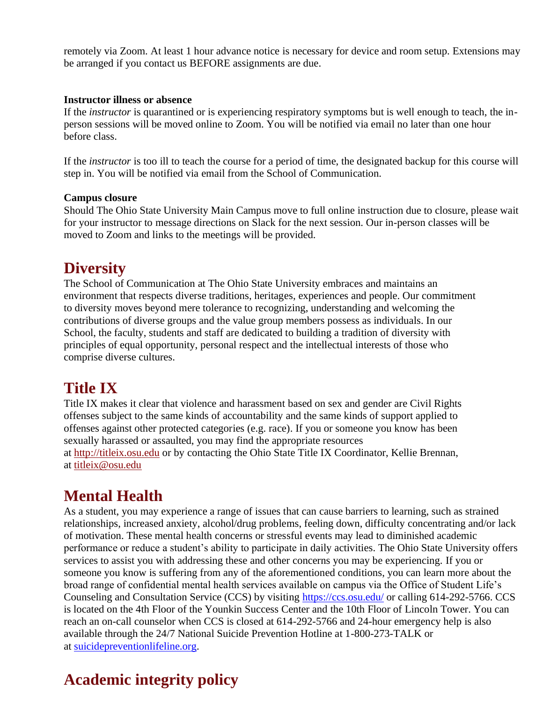remotely via Zoom. At least 1 hour advance notice is necessary for device and room setup. Extensions may be arranged if you contact us BEFORE assignments are due.

#### **Instructor illness or absence**

If the *instructor* is quarantined or is experiencing respiratory symptoms but is well enough to teach, the inperson sessions will be moved online to Zoom. You will be notified via email no later than one hour before class.

If the *instructor* is too ill to teach the course for a period of time, the designated backup for this course will step in. You will be notified via email from the School of Communication.

#### **Campus closure**

Should The Ohio State University Main Campus move to full online instruction due to closure, please wait for your instructor to message directions on Slack for the next session. Our in-person classes will be moved to Zoom and links to the meetings will be provided.

### **Diversity**

The School of Communication at The Ohio State University embraces and maintains an environment that respects diverse traditions, heritages, experiences and people. Our commitment to diversity moves beyond mere tolerance to recognizing, understanding and welcoming the contributions of diverse groups and the value group members possess as individuals. In our School, the faculty, students and staff are dedicated to building a tradition of diversity with principles of equal opportunity, personal respect and the intellectual interests of those who comprise diverse cultures.

### **Title IX**

Title IX makes it clear that violence and harassment based on sex and gender are Civil Rights offenses subject to the same kinds of accountability and the same kinds of support applied to offenses against other protected categories (e.g. race). If you or someone you know has been sexually harassed or assaulted, you may find the appropriate resources at [http://titleix.osu.edu](http://titleix.osu.edu/) or by contacting the Ohio State Title IX Coordinator, Kellie Brennan, at [titleix@osu.edu](mailto:titleix@osu.edu)

### **Mental Health**

As a student, you may experience a range of issues that can cause barriers to learning, such as strained relationships, increased anxiety, alcohol/drug problems, feeling down, difficulty concentrating and/or lack of motivation. These mental health concerns or stressful events may lead to diminished academic performance or reduce a student's ability to participate in daily activities. The Ohio State University offers services to assist you with addressing these and other concerns you may be experiencing. If you or someone you know is suffering from any of the aforementioned conditions, you can learn more about the broad range of confidential mental health services available on campus via the Office of Student Life's Counseling and Consultation Service (CCS) by visiting<https://ccs.osu.edu/> or calling 614-292-5766. CCS is located on the 4th Floor of the Younkin Success Center and the 10th Floor of Lincoln Tower. You can reach an on-call counselor when CCS is closed at 614-292-5766 and 24-hour emergency help is also available through the 24/7 National Suicide Prevention Hotline at 1-800-273-TALK or at [suicidepreventionlifeline.org.](https://suicidepreventionlifeline.org/)

### **Academic integrity policy**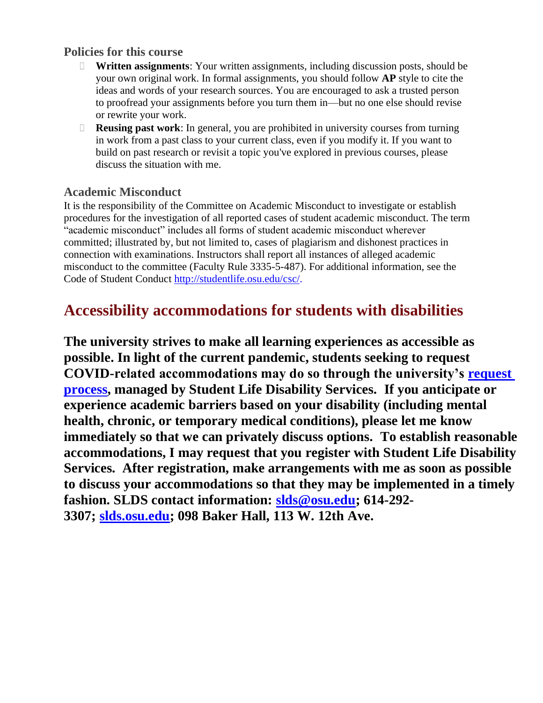#### **Policies for this course**

- **Written assignments**: Your written assignments, including discussion posts, should be your own original work. In formal assignments, you should follow **AP** style to cite the ideas and words of your research sources. You are encouraged to ask a trusted person to proofread your assignments before you turn them in—but no one else should revise or rewrite your work.
- **Reusing past work**: In general, you are prohibited in university courses from turning in work from a past class to your current class, even if you modify it. If you want to build on past research or revisit a topic you've explored in previous courses, please discuss the situation with me.

#### **Academic Misconduct**

It is the responsibility of the Committee on Academic Misconduct to investigate or establish procedures for the investigation of all reported cases of student academic misconduct. The term "academic misconduct" includes all forms of student academic misconduct wherever committed; illustrated by, but not limited to, cases of plagiarism and dishonest practices in connection with examinations. Instructors shall report all instances of alleged academic misconduct to the committee (Faculty Rule 3335-5-487). For additional information, see the Code of Student Conduct [http://studentlife.osu.edu/csc/.](http://studentlife.osu.edu/csc/)

### **Accessibility accommodations for students with disabilities**

**The university strives to make all learning experiences as accessible as possible. In light of the current pandemic, students seeking to request COVID-related accommodations may do so through the university's [request](https://slds.osu.edu/covid-19-info/covid-related-accommodation-requests/)  [process,](https://slds.osu.edu/covid-19-info/covid-related-accommodation-requests/) managed by Student Life Disability Services. If you anticipate or experience academic barriers based on your disability (including mental health, chronic, or temporary medical conditions), please let me know immediately so that we can privately discuss options. To establish reasonable accommodations, I may request that you register with Student Life Disability Services. After registration, make arrangements with me as soon as possible to discuss your accommodations so that they may be implemented in a timely fashion. SLDS contact information: [slds@osu.edu;](mailto:slds@osu.edu) 614-292- 3307; [slds.osu.edu;](https://slds.osu.edu/) 098 Baker Hall, 113 W. 12th Ave.**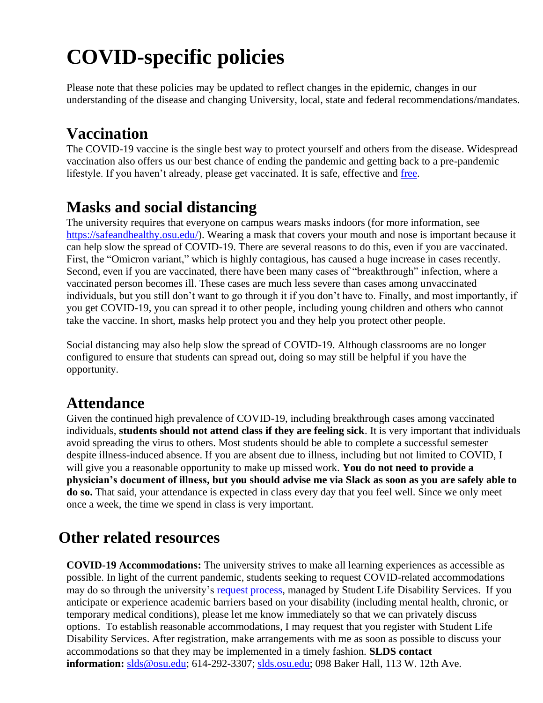# **COVID-specific policies**

Please note that these policies may be updated to reflect changes in the epidemic, changes in our understanding of the disease and changing University, local, state and federal recommendations/mandates.

### **Vaccination**

The COVID-19 vaccine is the single best way to protect yourself and others from the disease. Widespread vaccination also offers us our best chance of ending the pandemic and getting back to a pre-pandemic lifestyle. If you haven't already, please get vaccinated. It is safe, effective and [free.](https://safeandhealthy.osu.edu/get-vaccinated)

### **Masks and social distancing**

The university requires that everyone on campus wears masks indoors (for more information, see [https://safeandhealthy.osu.edu/\)](https://safeandhealthy.osu.edu/). Wearing a mask that covers your mouth and nose is important because it can help slow the spread of COVID-19. There are several reasons to do this, even if you are vaccinated. First, the "Omicron variant," which is highly contagious, has caused a huge increase in cases recently. Second, even if you are vaccinated, there have been many cases of "breakthrough" infection, where a vaccinated person becomes ill. These cases are much less severe than cases among unvaccinated individuals, but you still don't want to go through it if you don't have to. Finally, and most importantly, if you get COVID-19, you can spread it to other people, including young children and others who cannot take the vaccine. In short, masks help protect you and they help you protect other people.

Social distancing may also help slow the spread of COVID-19. Although classrooms are no longer configured to ensure that students can spread out, doing so may still be helpful if you have the opportunity.

### **Attendance**

Given the continued high prevalence of COVID-19, including breakthrough cases among vaccinated individuals, **students should not attend class if they are feeling sick**. It is very important that individuals avoid spreading the virus to others. Most students should be able to complete a successful semester despite illness-induced absence. If you are absent due to illness, including but not limited to COVID, I will give you a reasonable opportunity to make up missed work. **You do not need to provide a physician's document of illness, but you should advise me via Slack as soon as you are safely able to do so.** That said, your attendance is expected in class every day that you feel well. Since we only meet once a week, the time we spend in class is very important.

### **Other related resources**

**COVID-19 Accommodations:** The university strives to make all learning experiences as accessible as possible. In light of the current pandemic, students seeking to request COVID-related accommodations may do so through the university's [request process,](https://slds.osu.edu/covid-19-info/covid-related-accommodation-requests/) managed by Student Life Disability Services. If you anticipate or experience academic barriers based on your disability (including mental health, chronic, or temporary medical conditions), please let me know immediately so that we can privately discuss options. To establish reasonable accommodations, I may request that you register with Student Life Disability Services. After registration, make arrangements with me as soon as possible to discuss your accommodations so that they may be implemented in a timely fashion. **SLDS contact information:** [slds@osu.edu;](mailto:slds@osu.edu) 614-292-3307; [slds.osu.edu;](https://slds.osu.edu/) 098 Baker Hall, 113 W. 12th Ave.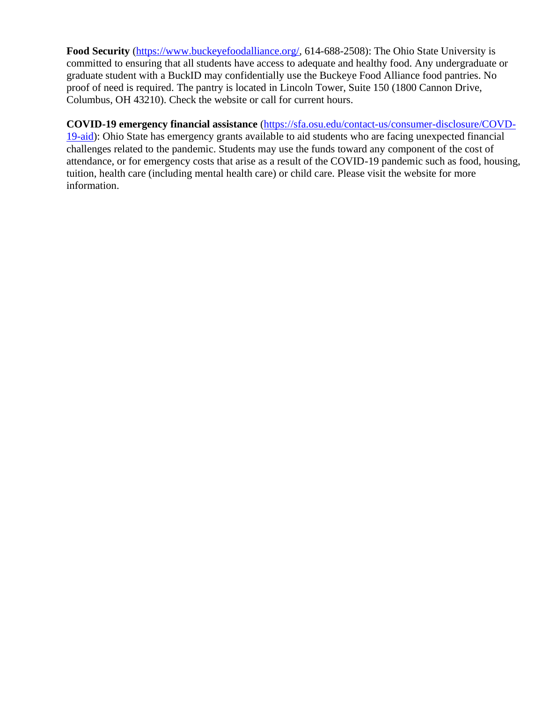**Food Security** [\(https://www.buckeyefoodalliance.org/,](https://www.buckeyefoodalliance.org/) 614-688-2508): The Ohio State University is committed to ensuring that all students have access to adequate and healthy food. Any undergraduate or graduate student with a BuckID may confidentially use the Buckeye Food Alliance food pantries. No proof of need is required. The pantry is located in Lincoln Tower, Suite 150 (1800 Cannon Drive, Columbus, OH 43210). Check the website or call for current hours.

#### **COVID-19 emergency financial assistance** [\(https://sfa.osu.edu/contact-us/consumer-disclosure/COVD-](https://sfa.osu.edu/contact-us/consumer-disclosure/COVD-19-aid)

[19-aid\)](https://sfa.osu.edu/contact-us/consumer-disclosure/COVD-19-aid): Ohio State has emergency grants available to aid students who are facing unexpected financial challenges related to the pandemic. Students may use the funds toward any component of the cost of attendance, or for emergency costs that arise as a result of the COVID-19 pandemic such as food, housing, tuition, health care (including mental health care) or child care. Please visit the website for more information.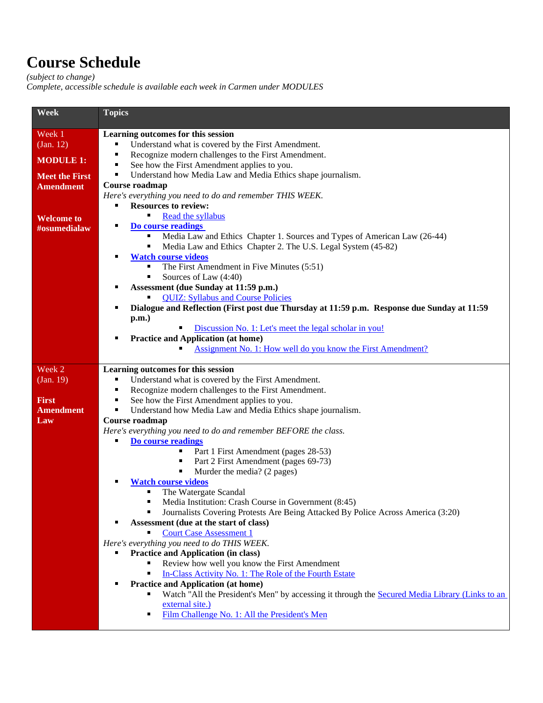### **Course Schedule**

*(subject to change)*

*Complete, accessible schedule is available each week in Carmen under MODULES*

| Week                  | <b>Topics</b>                                                                                                                               |
|-----------------------|---------------------------------------------------------------------------------------------------------------------------------------------|
| Week 1                | Learning outcomes for this session                                                                                                          |
| (Jan. 12)             | Understand what is covered by the First Amendment.<br>п                                                                                     |
|                       | Recognize modern challenges to the First Amendment.<br>٠                                                                                    |
| <b>MODULE 1:</b>      | See how the First Amendment applies to you.<br>٠                                                                                            |
| <b>Meet the First</b> | Understand how Media Law and Media Ethics shape journalism.<br>п                                                                            |
| <b>Amendment</b>      | Course roadmap                                                                                                                              |
|                       | Here's everything you need to do and remember THIS WEEK.                                                                                    |
|                       | <b>Resources to review:</b><br>п                                                                                                            |
| <b>Welcome to</b>     | Read the syllabus                                                                                                                           |
| #osumedialaw          | Do course readings                                                                                                                          |
|                       | Media Law and Ethics Chapter 1. Sources and Types of American Law (26-44)                                                                   |
|                       | Media Law and Ethics Chapter 2. The U.S. Legal System (45-82)                                                                               |
|                       | <b>Watch course videos</b>                                                                                                                  |
|                       | The First Amendment in Five Minutes (5:51)                                                                                                  |
|                       | Sources of Law (4:40)                                                                                                                       |
|                       | Assessment (due Sunday at 11:59 p.m.)<br>٠                                                                                                  |
|                       | <b>QUIZ: Syllabus and Course Policies</b>                                                                                                   |
|                       | Dialogue and Reflection (First post due Thursday at 11:59 p.m. Response due Sunday at 11:59                                                 |
|                       | p.m.<br>Discussion No. 1: Let's meet the legal scholar in you!                                                                              |
|                       | <b>Practice and Application (at home)</b>                                                                                                   |
|                       | Assignment No. 1: How well do you know the First Amendment?                                                                                 |
|                       |                                                                                                                                             |
| Week 2                | Learning outcomes for this session                                                                                                          |
| (Jan. 19)             | Understand what is covered by the First Amendment.                                                                                          |
|                       | Recognize modern challenges to the First Amendment.<br>٠                                                                                    |
| <b>First</b>          | See how the First Amendment applies to you.<br>٠                                                                                            |
| <b>Amendment</b>      | Understand how Media Law and Media Ethics shape journalism.<br>п                                                                            |
| Law                   | Course roadmap                                                                                                                              |
|                       | Here's everything you need to do and remember BEFORE the class.                                                                             |
|                       | Do course readings<br>٠                                                                                                                     |
|                       | Part 1 First Amendment (pages 28-53)<br>Part 2 First Amendment (pages 69-73)<br>٠                                                           |
|                       | Murder the media? (2 pages)                                                                                                                 |
|                       | <b>Watch course videos</b>                                                                                                                  |
|                       | The Watergate Scandal                                                                                                                       |
|                       | Media Institution: Crash Course in Government (8:45)                                                                                        |
|                       | Journalists Covering Protests Are Being Attacked By Police Across America (3:20)<br>٠                                                       |
|                       | Assessment (due at the start of class)<br>٠                                                                                                 |
|                       | <b>Court Case Assessment 1</b><br>٠                                                                                                         |
|                       | Here's everything you need to do THIS WEEK.                                                                                                 |
|                       | <b>Practice and Application (in class)</b>                                                                                                  |
|                       | Review how well you know the First Amendment                                                                                                |
|                       | In-Class Activity No. 1: The Role of the Fourth Estate                                                                                      |
|                       | <b>Practice and Application (at home)</b><br>Watch "All the President's Men" by accessing it through the Secured Media Library (Links to an |
|                       | external site.)                                                                                                                             |
|                       | Film Challenge No. 1: All the President's Men<br>٠                                                                                          |
|                       |                                                                                                                                             |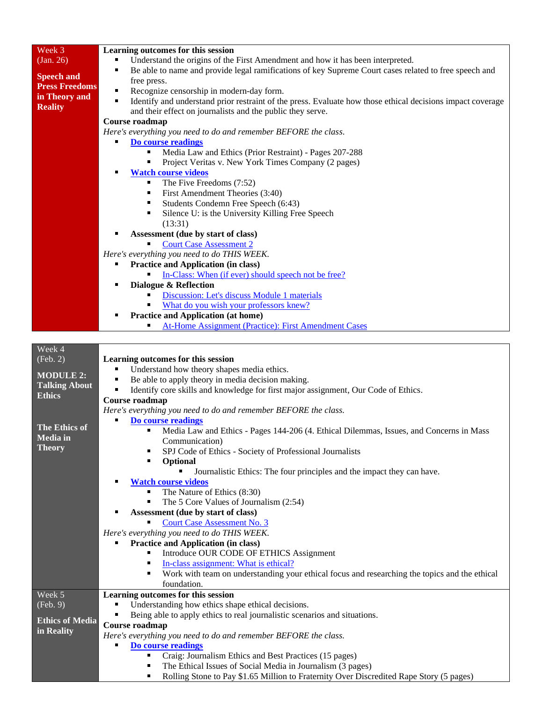| Week 3                 | Learning outcomes for this session                                                                                                                    |
|------------------------|-------------------------------------------------------------------------------------------------------------------------------------------------------|
| (Jan. 26)              | Understand the origins of the First Amendment and how it has been interpreted.                                                                        |
|                        | Be able to name and provide legal ramifications of key Supreme Court cases related to free speech and                                                 |
| <b>Speech and</b>      | free press.                                                                                                                                           |
| <b>Press Freedoms</b>  | Recognize censorship in modern-day form.                                                                                                              |
| in Theory and          | Identify and understand prior restraint of the press. Evaluate how those ethical decisions impact coverage<br>٠                                       |
| <b>Reality</b>         | and their effect on journalists and the public they serve.                                                                                            |
|                        | Course roadmap                                                                                                                                        |
|                        | Here's everything you need to do and remember BEFORE the class.                                                                                       |
|                        | Do course readings                                                                                                                                    |
|                        |                                                                                                                                                       |
|                        | Media Law and Ethics (Prior Restraint) - Pages 207-288                                                                                                |
|                        | Project Veritas v. New York Times Company (2 pages)                                                                                                   |
|                        | <b>Watch course videos</b>                                                                                                                            |
|                        | The Five Freedoms (7:52)<br>٠                                                                                                                         |
|                        | First Amendment Theories (3:40)<br>٠                                                                                                                  |
|                        | Students Condemn Free Speech (6:43)<br>٠                                                                                                              |
|                        | Silence U: is the University Killing Free Speech<br>٠                                                                                                 |
|                        | (13:31)                                                                                                                                               |
|                        | Assessment (due by start of class)<br>٠                                                                                                               |
|                        | <b>Court Case Assessment 2</b>                                                                                                                        |
|                        | Here's everything you need to do THIS WEEK.                                                                                                           |
|                        | <b>Practice and Application (in class)</b>                                                                                                            |
|                        | In-Class: When (if ever) should speech not be free?                                                                                                   |
|                        | Dialogue & Reflection                                                                                                                                 |
|                        | Discussion: Let's discuss Module 1 materials                                                                                                          |
|                        | What do you wish your professors knew?                                                                                                                |
|                        | <b>Practice and Application (at home)</b>                                                                                                             |
|                        | <b>At-Home Assignment (Practice): First Amendment Cases</b>                                                                                           |
|                        |                                                                                                                                                       |
| Week 4                 |                                                                                                                                                       |
| (Feb. 2)               | Learning outcomes for this session                                                                                                                    |
|                        | Understand how theory shapes media ethics.                                                                                                            |
| <b>MODULE 2:</b>       | Be able to apply theory in media decision making.                                                                                                     |
| <b>Talking About</b>   | Identify core skills and knowledge for first major assignment, Our Code of Ethics.<br>٠                                                               |
| <b>Ethics</b>          | Course roadmap                                                                                                                                        |
|                        | Here's everything you need to do and remember BEFORE the class.                                                                                       |
|                        | Do course readings                                                                                                                                    |
| <b>The Ethics of</b>   | Media Law and Ethics - Pages 144-206 (4. Ethical Dilemmas, Issues, and Concerns in Mass                                                               |
| <b>Media</b> in        | Communication)                                                                                                                                        |
| <b>Theory</b>          | SPJ Code of Ethics - Society of Professional Journalists                                                                                              |
|                        | Optional                                                                                                                                              |
|                        | Journalistic Ethics: The four principles and the impact they can have.                                                                                |
|                        | <b>Watch course videos</b><br>٠                                                                                                                       |
|                        | The Nature of Ethics (8:30)                                                                                                                           |
|                        | The 5 Core Values of Journalism (2:54)                                                                                                                |
|                        | Assessment (due by start of class)                                                                                                                    |
|                        | <b>Court Case Assessment No. 3</b>                                                                                                                    |
|                        | Here's everything you need to do THIS WEEK.                                                                                                           |
|                        | <b>Practice and Application (in class)</b>                                                                                                            |
|                        | Introduce OUR CODE OF ETHICS Assignment                                                                                                               |
|                        | In-class assignment: What is ethical?                                                                                                                 |
|                        | Work with team on understanding your ethical focus and researching the topics and the ethical                                                         |
|                        | foundation.                                                                                                                                           |
| Week 5                 | Learning outcomes for this session                                                                                                                    |
| (Feb. 9)               | Understanding how ethics shape ethical decisions.                                                                                                     |
|                        |                                                                                                                                                       |
| <b>Ethics of Media</b> | Being able to apply ethics to real journalistic scenarios and situations.                                                                             |
| in Reality             | Course roadmap                                                                                                                                        |
|                        | Here's everything you need to do and remember BEFORE the class.                                                                                       |
|                        | Do course readings<br>٠                                                                                                                               |
|                        | Craig: Journalism Ethics and Best Practices (15 pages)<br>٠                                                                                           |
|                        | The Ethical Issues of Social Media in Journalism (3 pages)<br>Rolling Stone to Pay \$1.65 Million to Fraternity Over Discredited Rape Story (5 pages) |
|                        | ٠                                                                                                                                                     |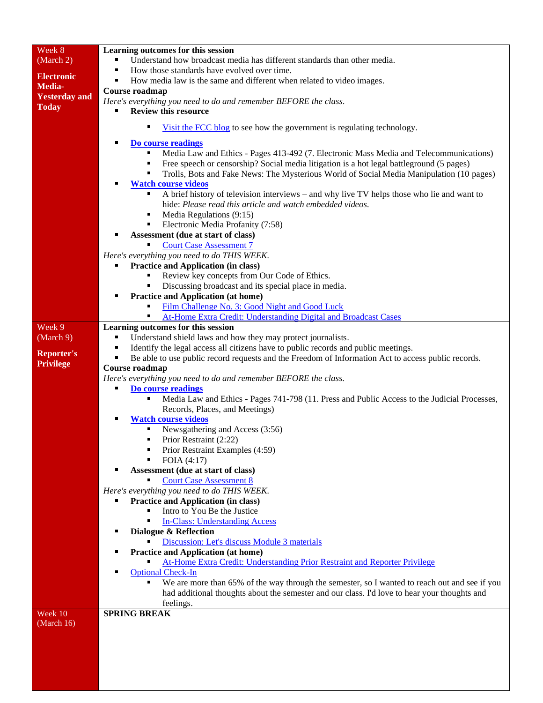| Week 8                                | Learning outcomes for this session                                                                 |  |
|---------------------------------------|----------------------------------------------------------------------------------------------------|--|
| (March 2)                             | Understand how broadcast media has different standards than other media.                           |  |
|                                       | How those standards have evolved over time.<br>٠                                                   |  |
| <b>Electronic</b>                     | How media law is the same and different when related to video images.<br>٠                         |  |
| Media-                                | Course roadmap                                                                                     |  |
| <b>Yesterday</b> and                  | Here's everything you need to do and remember BEFORE the class.                                    |  |
| <b>Today</b>                          | <b>Review this resource</b>                                                                        |  |
|                                       |                                                                                                    |  |
|                                       | Visit the FCC blog to see how the government is regulating technology.                             |  |
|                                       | Do course readings                                                                                 |  |
|                                       | Media Law and Ethics - Pages 413-492 (7. Electronic Mass Media and Telecommunications)             |  |
|                                       | Free speech or censorship? Social media litigation is a hot legal battleground (5 pages)           |  |
|                                       | Trolls, Bots and Fake News: The Mysterious World of Social Media Manipulation (10 pages)           |  |
|                                       | <b>Watch course videos</b>                                                                         |  |
|                                       | A brief history of television interviews – and why live TV helps those who lie and want to         |  |
|                                       | hide: Please read this article and watch embedded videos.                                          |  |
|                                       | Media Regulations (9:15)                                                                           |  |
|                                       | Electronic Media Profanity (7:58)<br>٠                                                             |  |
|                                       | Assessment (due at start of class)                                                                 |  |
|                                       | <b>Court Case Assessment 7</b>                                                                     |  |
|                                       | Here's everything you need to do THIS WEEK.                                                        |  |
|                                       | <b>Practice and Application (in class)</b>                                                         |  |
|                                       | Review key concepts from Our Code of Ethics.                                                       |  |
|                                       | Discussing broadcast and its special place in media.                                               |  |
|                                       | <b>Practice and Application (at home)</b>                                                          |  |
|                                       | Film Challenge No. 3: Good Night and Good Luck                                                     |  |
|                                       | At-Home Extra Credit: Understanding Digital and Broadcast Cases                                    |  |
| Week 9                                | Learning outcomes for this session                                                                 |  |
| (March 9)                             | Understand shield laws and how they may protect journalists.                                       |  |
|                                       | Identify the legal access all citizens have to public records and public meetings.                 |  |
| <b>Reporter's</b><br><b>Privilege</b> | Be able to use public record requests and the Freedom of Information Act to access public records. |  |
|                                       | Course roadmap                                                                                     |  |
|                                       | Here's everything you need to do and remember BEFORE the class.                                    |  |
|                                       | Do course readings                                                                                 |  |
|                                       | Media Law and Ethics - Pages 741-798 (11. Press and Public Access to the Judicial Processes,<br>٠  |  |
|                                       | Records, Places, and Meetings)                                                                     |  |
|                                       | <b>Watch course videos</b>                                                                         |  |
|                                       | Newsgathering and Access (3:56)                                                                    |  |
|                                       | Prior Restraint (2:22)                                                                             |  |
|                                       | Prior Restraint Examples (4:59)                                                                    |  |
|                                       | FOIA (4:17)                                                                                        |  |
|                                       | Assessment (due at start of class)                                                                 |  |
|                                       | <b>Court Case Assessment 8</b><br>Here's everything you need to do THIS WEEK.                      |  |
|                                       | <b>Practice and Application (in class)</b>                                                         |  |
|                                       | Intro to You Be the Justice                                                                        |  |
|                                       | <b>In-Class: Understanding Access</b>                                                              |  |
|                                       | Dialogue & Reflection                                                                              |  |
|                                       | Discussion: Let's discuss Module 3 materials                                                       |  |
|                                       | <b>Practice and Application (at home)</b><br>٠                                                     |  |
|                                       | At-Home Extra Credit: Understanding Prior Restraint and Reporter Privilege                         |  |
|                                       | <b>Optional Check-In</b>                                                                           |  |
|                                       | We are more than 65% of the way through the semester, so I wanted to reach out and see if you      |  |
|                                       | had additional thoughts about the semester and our class. I'd love to hear your thoughts and       |  |
|                                       | feelings.                                                                                          |  |
| Week 10                               | <b>SPRING BREAK</b>                                                                                |  |
| (March $16$ )                         |                                                                                                    |  |
|                                       |                                                                                                    |  |
|                                       |                                                                                                    |  |
|                                       |                                                                                                    |  |
|                                       |                                                                                                    |  |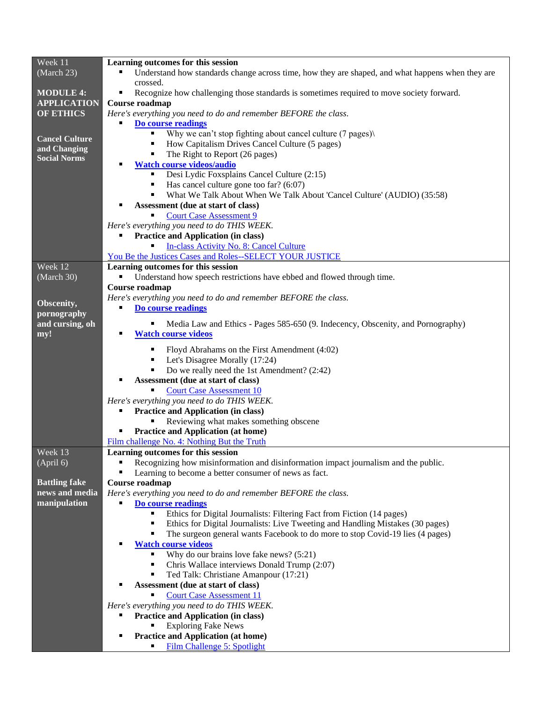| Week 11               | Learning outcomes for this session                                                                               |
|-----------------------|------------------------------------------------------------------------------------------------------------------|
| (March 23)            | Understand how standards change across time, how they are shaped, and what happens when they are                 |
|                       | crossed.                                                                                                         |
| <b>MODULE 4:</b>      | Recognize how challenging those standards is sometimes required to move society forward.<br>п                    |
| <b>APPLICATION</b>    | Course roadmap                                                                                                   |
| <b>OF ETHICS</b>      | Here's everything you need to do and remember BEFORE the class.                                                  |
|                       | Do course readings                                                                                               |
| <b>Cancel Culture</b> | Why we can't stop fighting about cancel culture (7 pages)<br>п                                                   |
| and Changing          | How Capitalism Drives Cancel Culture (5 pages)                                                                   |
| <b>Social Norms</b>   | The Right to Report (26 pages)                                                                                   |
|                       | <b>Watch course videos/audio</b>                                                                                 |
|                       | Desi Lydic Foxsplains Cancel Culture (2:15)                                                                      |
|                       | Has cancel culture gone too far? (6:07)                                                                          |
|                       | What We Talk About When We Talk About 'Cancel Culture' (AUDIO) (35:58)                                           |
|                       | Assessment (due at start of class)                                                                               |
|                       | <b>Court Case Assessment 9</b>                                                                                   |
|                       | Here's everything you need to do THIS WEEK.<br><b>Practice and Application (in class)</b>                        |
|                       | <b>In-class Activity No. 8: Cancel Culture</b>                                                                   |
|                       | You Be the Justices Cases and Roles--SELECT YOUR JUSTICE                                                         |
| Week 12               | Learning outcomes for this session                                                                               |
| (March 30)            | Understand how speech restrictions have ebbed and flowed through time.                                           |
|                       | Course roadmap                                                                                                   |
|                       | Here's everything you need to do and remember BEFORE the class.                                                  |
| Obscenity,            | Do course readings<br>п                                                                                          |
| pornography           |                                                                                                                  |
| and cursing, oh       | Media Law and Ethics - Pages 585-650 (9. Indecency, Obscenity, and Pornography)                                  |
| my!                   | <b>Watch course videos</b>                                                                                       |
|                       | Floyd Abrahams on the First Amendment (4:02)                                                                     |
|                       | Let's Disagree Morally (17:24)                                                                                   |
|                       | Do we really need the 1st Amendment? (2:42)                                                                      |
|                       | Assessment (due at start of class)                                                                               |
|                       | <b>Court Case Assessment 10</b>                                                                                  |
|                       | Here's everything you need to do THIS WEEK.                                                                      |
|                       | <b>Practice and Application (in class)</b>                                                                       |
|                       | Reviewing what makes something obscene                                                                           |
|                       | <b>Practice and Application (at home)</b>                                                                        |
|                       | Film challenge No. 4: Nothing But the Truth                                                                      |
| Week 13               | Learning outcomes for this session                                                                               |
| (April 6)             | Recognizing how misinformation and disinformation impact journalism and the public.<br>п                         |
|                       | Learning to become a better consumer of news as fact.                                                            |
| <b>Battling fake</b>  | Course roadmap                                                                                                   |
| news and media        | Here's everything you need to do and remember BEFORE the class.                                                  |
| manipulation          | Do course readings                                                                                               |
|                       | Ethics for Digital Journalists: Filtering Fact from Fiction (14 pages)                                           |
|                       | ٠<br>Ethics for Digital Journalists: Live Tweeting and Handling Mistakes (30 pages)                              |
|                       | The surgeon general wants Facebook to do more to stop Covid-19 lies (4 pages)<br><b>Watch course videos</b><br>Е |
|                       | Why do our brains love fake news? (5:21)                                                                         |
|                       | Chris Wallace interviews Donald Trump (2:07)<br>٠                                                                |
|                       | Ted Talk: Christiane Amanpour (17:21)                                                                            |
|                       | Assessment (due at start of class)                                                                               |
|                       | <b>Court Case Assessment 11</b>                                                                                  |
|                       | Here's everything you need to do THIS WEEK.                                                                      |
|                       | <b>Practice and Application (in class)</b><br>■                                                                  |
|                       | <b>Exploring Fake News</b>                                                                                       |
|                       | <b>Practice and Application (at home)</b><br>п                                                                   |
|                       | Film Challenge 5: Spotlight                                                                                      |